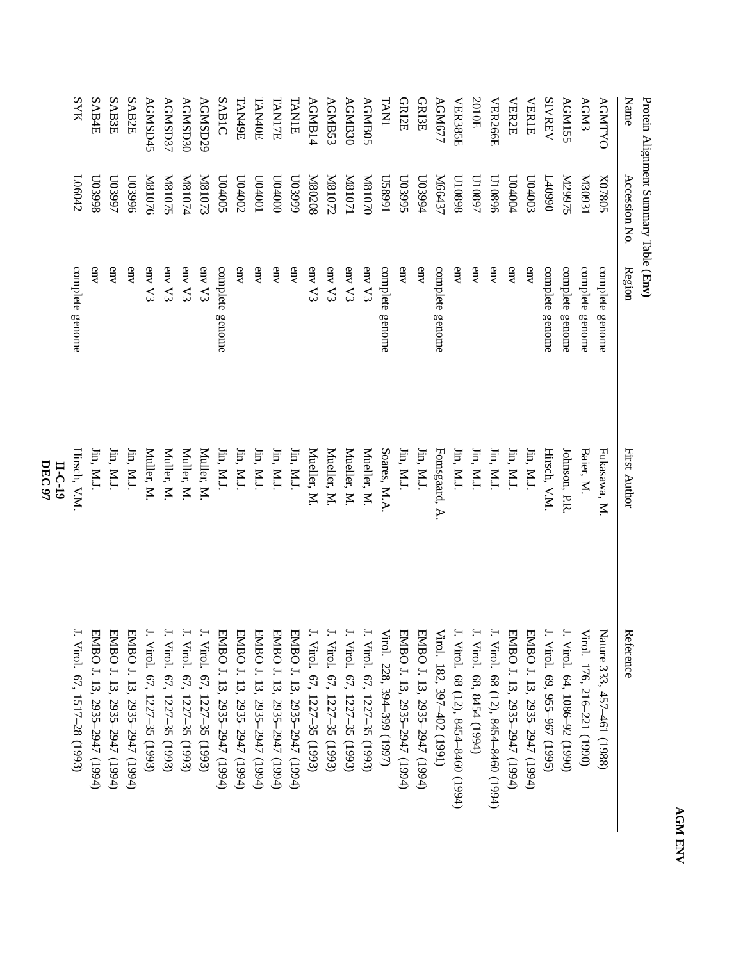| i, |  |
|----|--|
| 4  |  |
| Σ  |  |
|    |  |
| ï  |  |
| é  |  |

| Name           | Accession No       | Region          | <b>First Author</b>                                           | Reference                        |
|----------------|--------------------|-----------------|---------------------------------------------------------------|----------------------------------|
| <b>AGNTYO</b>  | <b>Z07805</b>      | complete genome | Fukasawa, M                                                   | Nature 333, 457–461 (1988)       |
| <b>AGM3</b>    | IE60EM             | complete genome | Baier, M.                                                     | Virol. 176, 216-221 (1990)       |
| AGM155         | SL66ZN             | complete genome | Johnson, P.R                                                  | ۲.<br>Virol. 64, 1086-92 (1990)  |
| <b>SIVREV</b>  | 0660+7             | complete genome | Hirsch, V.M                                                   | Virol. 69, 955–967 (1995)        |
| <b>VERIE</b>   | £00 <sub>00</sub>  | $_{\rm env}$    | Jin, M.J.                                                     | EMBO J. 13, 2935-2947 (1994)     |
| <b>VER2E</b>   | 104004             | env             | Jin, M.J.                                                     | EMBO J. 13, 2935-2947 (1994)     |
| <b>VER266E</b> | 010896             | env             | $\lim$ , M.J.                                                 | Virol. 68 (12), 8454-8460 (1994) |
| 2010E          | L6801N             | env             | $\lim$ , $M.J$ .                                              | Virol. 68, 8454 (1994)           |
| VER385E        | 8680 <sub>IO</sub> | env             | $\lim,$ M.J.                                                  | Virol. 68 (12), 8454-8460 (1994) |
| AGM677         | M66437             | complete genome | Fomsgaard, A.                                                 | Virol. 182, 397–402 (1991)       |
| <b>GRI3E</b>   | <b>LO3994</b>      | env             | Jin, M.J.                                                     | EMBO J. 13, 2935-2947 (1994)     |
| <b>GRI2E</b>   | S6680N             | env             | $\mathop{\text{lin}}\nolimits, \mathop{\text{M.l}}\nolimits.$ | EMBO J. 13, 2935-2947 (1994)     |
| <b>TAN1</b>    | L668SN             | complete genome | Soares, M.A                                                   | Virol. 228, 394–399 (1997)       |
| <b>AGMB05</b>  | 02018IN            | env V3          | Mueller, M.                                                   | I. Virol. 67, 1227–35 (1993)     |
| AGMB30         | IL018IN            | env V3          | Mueller, M.                                                   | Virol. 67, 1227-35 (1993)        |
| AGMB53         | ZL018IN            | env V3          | Mueller, M.                                                   | Virol. 67, 1227-35 (1993)        |
| AGMB14         | 80208 <sub>M</sub> | env V3          | Mueller, M                                                    | Virol. 67, 1227-35 (1993)        |
| TANIE          | 666£00             | env             | Jin, M.J.                                                     | EMBO J. 13, 2935-2947 (1994)     |
| TANI7E         | 0000000            | env             | Jin, M.J.                                                     | EMBO J. 13, 2935-2947 (1994)     |
| TAN40E         | L004001            | env             | $\lim$ , $M.J$ .                                              | EMBO J. 13, 2935-2947 (1994)     |
| TANA9E         | C04002             | env             | Jin, M.J.                                                     | EMBO J. 13, 2935-2947 (1994)     |
| SABIC          | S00+00             | complete genome | $\lim$ , M.J.                                                 | EMBO J. 13, 2935-2947 (1994)     |
| AGMSD29        | EL018IN            | env V3          | Muller, M                                                     | I. Virol. 67, 1227–35 (1993)     |
| AGMSD30        | <b>M81074</b>      | env V3          | Muller, M.                                                    | Virol. 67, 1227-35 (1993)        |
| <b>AGMSD37</b> | <b>N81075</b>      | env V3          | Muller, M.                                                    | Virol. 67, 1227-35 (1993)        |
| AGMSD45        | <b>M81076</b>      | env V3          | Muller, M                                                     | Virol. 67, 1227-35 (1993)        |
| SAB2E          | 966800             | env             | Jin, M.J.                                                     | EMBO J. 13, 2935-2947 (1994)     |
| SAB3E          | L66£00             | env             | Jin, M.J.                                                     | EMBO J. 13, 2935-2947 (1994)     |
| SAB4E          | 866£00             | env             | $\lim$ M.J.                                                   | EMBO J. 13, 2935-2947 (1994)     |
| <b>SYK</b>     | L06042             | complete genome | Hirsch, V.M.                                                  | Virol. 67, 1517-28 (1993)        |
|                |                    |                 | II-C-19                                                       |                                  |

**DEC 97**

Protein Alignment SummaryTable (**Env)**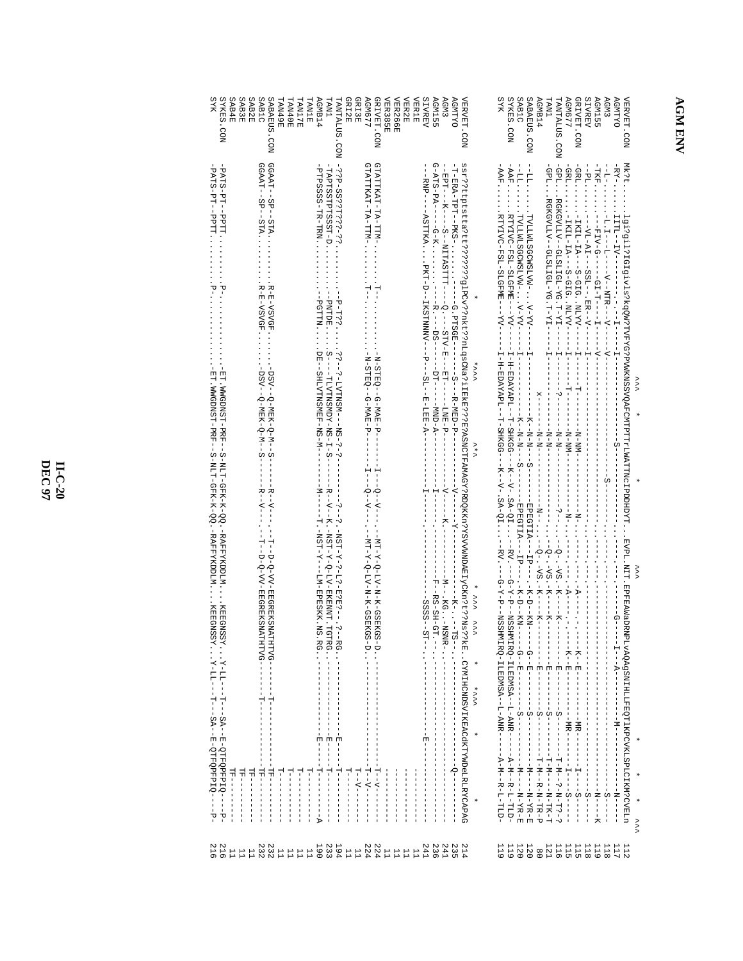## **AGMENV**

| <b>AGMB14</b><br>GRIVET.CON<br><b>SIVREV</b><br><b>AGM3</b><br><b>AGNTYO</b><br>SABAEUS.CON<br><b>AGM677</b><br><b>AGM155</b><br>VERVET.CON<br><b>TNAT</b><br>TANTALUS. CON | $\begin{split} &\frac{1}{2} \left[ \begin{array}{c} \frac{1}{2} \left( \frac{1}{2} \right) \left( \frac{1}{2} \right) \left( \frac{1}{2} \right) \left( \frac{1}{2} \right) \left( \frac{1}{2} \right) \left( \frac{1}{2} \right) \left( \frac{1}{2} \right) \left( \frac{1}{2} \right) \left( \frac{1}{2} \right) \left( \frac{1}{2} \right) \left( \frac{1}{2} \right) \left( \frac{1}{2} \right) \left( \frac{1}{2} \right) \left( \frac{1}{2} \right) \left( \frac{1}{$<br>MK:tigi?ail?1GEgivls?kgQW?TVFXG?PVWKNSSVQAFCMTPTTFLWATING1PDDEDYTEVPL.NIT_EPFEAMaDRNPLvAQA9SNIHLLFEQTIKPCVKLSPLCIKMSVOTINDDELA<br>>>> | ∕ ∕ ∕                                                                 |
|-----------------------------------------------------------------------------------------------------------------------------------------------------------------------------|----------------------------------------------------------------------------------------------------------------------------------------------------------------------------------------------------------------------------------------------------------------------------------------------------------------------------------------------------------------------------------------------------------------------------------------------------------------------------------------------------------------------------------------------------------------------------------------------------------------------|-----------------------------------------------------------------------|
| <b>SYKES. CON</b><br>SAB1C                                                                                                                                                  |                                                                                                                                                                                                                                                                                                                                                                                                                                                                                                                                                                                                                      |                                                                       |
| <b>SYR</b>                                                                                                                                                                  | $* \times \times \times$<br>$\times *$                                                                                                                                                                                                                                                                                                                                                                                                                                                                                                                                                                               | $\star \sim \sim \sim \sim \sim \star$<br>$\star \star \star \star$   |
| AGM3<br><b>AGMTYO</b><br><b>VERVET.CON</b>                                                                                                                                  | ssr??ttptstta?tt????????gyPryhtt??nlqsCMa?iIEkE???B?ASMCTFAMAGY?RDQKKn?YSVVMNDAEIyCKn?t??Ns??                                                                                                                                                                                                                                                                                                                                                                                                                                                                                                                        | <b>KE. CYMIHCNDSVIKEACHKTYWDELRICAPAG</b>                             |
| <b>VER2E</b><br><b>SIVREV</b><br><b>AGM155</b><br>VER385E<br>VER266E<br><b>VER1E</b>                                                                                        |                                                                                                                                                                                                                                                                                                                                                                                                                                                                                                                                                                                                                      |                                                                       |
| GRI2F<br><b>AGM677</b><br>GRIVET.CON<br>GRI3E                                                                                                                               | GTATTKAT-TA-TTM-                                                                                                                                                                                                                                                                                                                                                                                                                                                                                                                                                                                                     | - - - - コーマー - - - - -<br>ロートーー トーーーーーー<br>コートローーーーーー<br>ロー・マー ーーーーーー |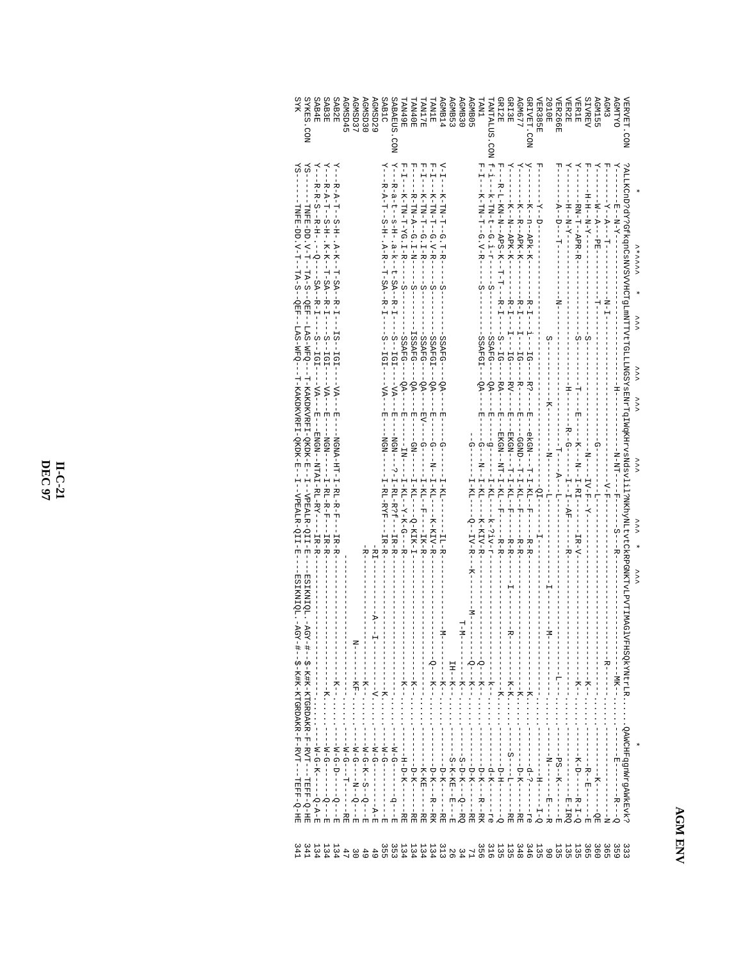## **AGM ENV**

| SYKES. CON<br><b>SYR</b>                                                                                                                                                                                                                                                                                                                                                          |                   | SAB4E | <b>SAB3E</b>                     | SAB2E           | AGMSD45                             | <b>AGMSD37</b> | AGMSD30                         | AGNSD22                                   | SAB1C                                                                                     | SABAEUS<br>NO <sub>2</sub>                                                           | TAN49E                                 | <b>TAN40E</b>                                                                                                                                                                                                                                                                                                                                                                                                                     | <b>FAN17E</b> | TANIE                  | <b>AGMB14</b>                                              | AGMB53     | AGMB <sub>30</sub> | <b>AGMB05</b>                                               | <b>TNAT</b>                                        | <b><i>LANTALUS</i></b><br>CON | <b>GRIZE</b>                                                     | <b>GRI3E</b>                                                                                                                                                                                                                                                                                                                                                                                                                                                                                                                                                                    | <b>AGM677</b>                                          | GRIVET. CON                                 | <b>VER385E</b>                                    | <b>Z010E</b>                      | VER266E                           | VER2E                   | <b>VER1E</b>   | <b>SIVREV</b>                                | <b>AGM155</b>                              | <b>AGM3</b> | <b>ACNTYO</b>        | <b>VERVET.CON</b>                                                                                            |                             |
|-----------------------------------------------------------------------------------------------------------------------------------------------------------------------------------------------------------------------------------------------------------------------------------------------------------------------------------------------------------------------------------|-------------------|-------|----------------------------------|-----------------|-------------------------------------|----------------|---------------------------------|-------------------------------------------|-------------------------------------------------------------------------------------------|--------------------------------------------------------------------------------------|----------------------------------------|-----------------------------------------------------------------------------------------------------------------------------------------------------------------------------------------------------------------------------------------------------------------------------------------------------------------------------------------------------------------------------------------------------------------------------------|---------------|------------------------|------------------------------------------------------------|------------|--------------------|-------------------------------------------------------------|----------------------------------------------------|-------------------------------|------------------------------------------------------------------|---------------------------------------------------------------------------------------------------------------------------------------------------------------------------------------------------------------------------------------------------------------------------------------------------------------------------------------------------------------------------------------------------------------------------------------------------------------------------------------------------------------------------------------------------------------------------------|--------------------------------------------------------|---------------------------------------------|---------------------------------------------------|-----------------------------------|-----------------------------------|-------------------------|----------------|----------------------------------------------|--------------------------------------------|-------------|----------------------|--------------------------------------------------------------------------------------------------------------|-----------------------------|
|                                                                                                                                                                                                                                                                                                                                                                                   |                   |       |                                  |                 |                                     |                |                                 |                                           | z — − д – − Д – − 2 − Н – − 2 − Н – 2 − д – − Д – 2 − 1 – 2 − д – – Д – 2 − 1 – 2 − д – т |                                                                                      |                                        | $\begin{split} V^1 - 1 & = -8 \cdot 1 - 1 - 1 \\ V^2 - 1 & = -1 \cdot 1 - 1 - 1 \\ V^3 - 1 & = -1 \cdot 1 - 1 - 1 - 1 \\ V^4 - 1 & = -1 \cdot 1 - 1 - 1 - 1 \\ V^5 - 1 & = -1 \cdot 1 - 1 - 1 - 1 \\ V^6 - 1 & = -1 \cdot 1 - 1 - 1 - 1 \\ V^7 - 1 & = -1 \cdot 1 - 1 - 1 - 1 \\ V^8 - 1 & = -1 \cdot 1 - 1 - 1 - 1 \\ V^9 - 1 & = -1 \cdot 1 - 1 - 1 - 1 \\ V^9 - $                                                              |               |                        |                                                            |            |                    |                                                             | $\frac{1}{2}$                                      | $-5 - -$                      |                                                                  |                                                                                                                                                                                                                                                                                                                                                                                                                                                                                                                                                                                 |                                                        | $Y$ – – $\sim$<br>$-K - n - n - 2Pk - K$    | 먹                                                 |                                   | $-1 - 1 - 1 - 1 - 1$<br>Ż         | - - H - - N - K - - - - | $-$ RN-F-APR-R | 면<br>-<br> <br>- - H - H - - N - K - - - - - | $\mathbf{Y}-$<br>- - M - - A - - - F H - - | 년<br>-      |                      |                                                                                                              | メンファン                       |
|                                                                                                                                                                                                                                                                                                                                                                                   |                   |       |                                  |                 |                                     |                |                                 |                                           | $-5 - 1G1 -$                                                                              |                                                                                      |                                        |                                                                                                                                                                                                                                                                                                                                                                                                                                   |               |                        | SSAFG                                                      |            |                    |                                                             | SSAFGI---QA-                                       | $--$ SSAFG----QA-             |                                                                  | - R - H - - - H - - - H Q - - - - - R V -                                                                                                                                                                                                                                                                                                                                                                                                                                                                                                                                       |                                                        |                                             |                                                   | $S$ - - - - -                     |                                   |                         | $--8----$      | $---S---$                                    |                                            |             |                      |                                                                                                              | $\checkmark$                |
| $\begin{split} Y &=-P_{\rm c}+P_{\rm c}-P_{\rm c}+P_{\rm c}-P_{\rm c}+P_{\rm c}-P_{\rm c}-P_{\rm c}-P_{\rm c}-P_{\rm c}-P_{\rm c}-P_{\rm c}-P_{\rm c}-P_{\rm c}-P_{\rm c}-P_{\rm c}-P_{\rm c}-P_{\rm c}-P_{\rm c}-P_{\rm c}-P_{\rm c}-P_{\rm c}-P_{\rm c}-P_{\rm c}-P_{\rm c}-P_{\rm c}-P_{\rm c}-P_{\rm c}-P_{\rm c}-P_{\rm c}-P_{\rm c}-P_{\rm c}-P_{\rm c}-P_{\rm c}-P_{\rm c$ |                   |       |                                  |                 |                                     |                |                                 |                                           | $\frac{1}{\sqrt{2}}$<br>NGN-<br>H – R L – R K F – – – H R – R –                           | Υ---Σ-α-τ--α-Η--α-Σ-Σ-Σ--τ-Ωλ--Σ----Σ---ΩΩΣ-----Ωλ---ΕΣ----ΣΩΣ----ΣΩΣ-----ΣΩΣ------Σ | $- \frac{\mathbf{E}}{1} - \frac{1}{1}$ | $\begin{aligned} & -583 \text{R} \text{G} \text{--} - -0 \text{A} \text{--} - - \text{E} \text{V} \text{--} - - \text{G} \text{--} - - \text{--} \text{I} \text{--} \text{K} \text{--} - - \text{I} \text{K} \text{--} \text{F} \text{--} \text{F} \text{--} \\ & 1583 \text{R} \text{G} \text{--} - 0 \text{A} \text{--} - - \text{B} \text{--} - - \text{C} \text{N} \text{--} - \text{I} \text{--} \text{K} \text{I} \text{--$ |               | $SSAFGI---QA----E--\\$ | $-6A-$<br>$\frac{1}{\sqrt{2}}$<br>$\frac{1}{1}$<br>$-KT$ - |            |                    | ှု<br>I-KL-<br>$- - - - - - - - - - - - -$                  | ġ<br>$-G - -N - -KI - -CI - -$<br>$   K$ $1N$ $ K$ |                               | $\begin{array}{c} 1 \ \ 1 \ \ 1 \ \ 1 \ \ 1 \ \ 1 \ \end{array}$ | $\frac{1}{\mathbb{E} \mathbb{E} - \mathbb{E} \mathbb{E} - \mathbb{E} \mathbb{E} \mathbb{E} \mathbb{E} \mathbb{E} \mathbb{E} \mathbb{E} \mathbb{E} \mathbb{E} \mathbb{E} \mathbb{E} \mathbb{E} \mathbb{E} \mathbb{E} \mathbb{E} \mathbb{E} \mathbb{E} \mathbb{E} \mathbb{E} \mathbb{E} \mathbb{E} \mathbb{E} \mathbb{E} \mathbb{E} \mathbb{E} \mathbb{E} \mathbb{E} \mathbb{E} \mathbb{E} \mathbb{E} \mathbb{E} \mathbb$<br>- - GGND- - T - I - KL - - P - - - - - - R - R<br>- EKGN - - - T - I - KL - - P - - - - - - R - R<br>- EKGN - - T - I - KL - - F - - - - - - - R - R |                                                        |                                             | $-1 - 2I - - -$<br>$\frac{1}{1}$                  | - - - N - - - - - - - - - - - - - | - - T - - - - - - - - L - - - - - |                         |                |                                              | $-1$                                       |             |                      | ?ALLKCHD?dY?GEKqnCsNVSVVHCTgLmNTTVtCTGLLLXVS8YSENTTGTWGKHYSNASYASINTTGTWGSV111?NKhyNLtVtCVKPRPGNKTYLLPVTIMAG | ```<br>$\times$<br>᠈᠈<br>∕∕ |
| - ESI KN HQL . - AGY - # - - S - K#K - K HGRDAK R - F - RVT - - - HEF F - O - HE                                                                                                                                                                                                                                                                                                  | -W-G-K------Q-A-E |       | $-1$ - $-1$ - $-1$ - $-1$ - $-1$ | ---X-Q-U------H | - - - W - G - - - T - - - - - - N E |                | $- - -N - G - K - -S - -S - -F$ | - H - − − − − − − − − − V - - - - - - − − |                                                                                           |                                                                                      | ----H-D-R------RE                      | $-1$ - $-1$ - $-1$ - $-1$<br>------------------                                                                                                                                                                                                                                                                                                                                                                                   |               |                        | - - - - D-K-- - - - - RE                                   | $-K - K -$ | $M - T$            | $M$ – – –<br>- Q - - - - K - - ・・・・・・<br>--D-K-------<br>EE |                                                    | エーエーエスエー シン・シン・エーエ            |                                                                  |                                                                                                                                                                                                                                                                                                                                                                                                                                                                                                                                                                                 | - - - - - - K - - -<br>- - - - - - - D - K - - - - - - |                                             | - - - - - - - - - - - - - - - - - HH - - - HH - O | –<br>–<br>–<br>–                  |                                   | $-$ B $-$               |                |                                              |                                            |             | - - - - - - - MK - - |                                                                                                              | $\times$                    |
| 341<br>341                                                                                                                                                                                                                                                                                                                                                                        | 134               |       |                                  |                 |                                     |                |                                 | 4 4 9 9 9 9 9<br>4 9 9 9 7 9 9<br>4 4 9 9 |                                                                                           |                                                                                      |                                        |                                                                                                                                                                                                                                                                                                                                                                                                                                   |               |                        | SSIIITSSSSSSSSSSSSSSSSSSSSSS                               |            |                    |                                                             |                                                    |                               |                                                                  |                                                                                                                                                                                                                                                                                                                                                                                                                                                                                                                                                                                 |                                                        | 3111 1331133<br>633393443315<br>55550000050 |                                                   |                                   |                                   |                         |                |                                              | 360                                        | 365         | 359                  | 333                                                                                                          |                             |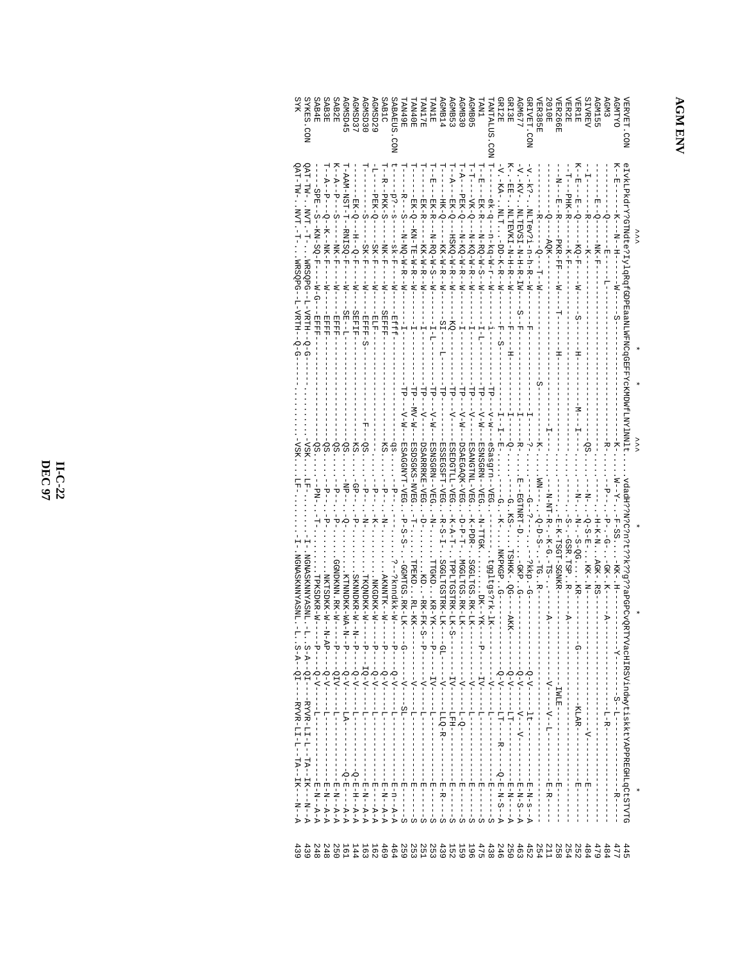**AGMENV** 

| SYK<br><b>STKES</b><br>.<br>NO2                                                              | SAB4E                                              |                                                     | SAB2E<br>SAB3E                                             | SPOSSING                                                                       | AGMSD37                             | SCNSD30                             | SSN5D22                    | SAB1C                                    | <b>SUEARDS</b><br>.<br>Son              | <b>TAN49E</b>             | LAN40E                        | <b>RYTIMAT</b>                | <b>TAM1E</b>                     | AGMB14                   | <b>AGMB53</b>                            | AGMB <sub>30</sub>                | <b>AGMBO5</b>                   | TNV.                                    | <b>ANTALUS</b>                        | <b>JRIZE</b>                                                     | <b>RISE</b>                              | <b>GM677</b>                                   | <b>JRIVET.CON</b>                  | <b>TER385E</b>         | <b>SOLOE</b>              | <b>TER266E</b>                                  | <b>TER2E</b>                   | <b>AERIE</b>                               | SIVREV                     | <b>AGN155</b>         | <b>AGM3</b>               | <b>AGMTYO</b>               | <b><i>IERVET</i></b><br>.<br>20                           |     |
|----------------------------------------------------------------------------------------------|----------------------------------------------------|-----------------------------------------------------|------------------------------------------------------------|--------------------------------------------------------------------------------|-------------------------------------|-------------------------------------|----------------------------|------------------------------------------|-----------------------------------------|---------------------------|-------------------------------|-------------------------------|----------------------------------|--------------------------|------------------------------------------|-----------------------------------|---------------------------------|-----------------------------------------|---------------------------------------|------------------------------------------------------------------|------------------------------------------|------------------------------------------------|------------------------------------|------------------------|---------------------------|-------------------------------------------------|--------------------------------|--------------------------------------------|----------------------------|-----------------------|---------------------------|-----------------------------|-----------------------------------------------------------|-----|
| QAT-TW- NVT -<br>241-1741 - INA-<br>MRSQPG--<br>L-VRTH--                                     | - SPE - - S - - KN - SO - F - -<br>М-6-<br>- REFER | $-4-7-7$<br>$-6$ - $-1$ $-1$ $-1$ $-1$<br>$-$ EFFFF | $K - -A - -P -$<br>$-5 -$<br>$-$ MK $-$ F<br>$-1$<br>HHHH- | H-PAN-NSH-H-PANISQ-F<br>—<br> <br> <br>$ST - -T$                               | EK-0-1-H-0-F<br>₹<br><b>CHAIRT-</b> | $-SK-F$<br>· HHHH-S                 | -PEK-Q<br>$SK-F$<br>$-177$ | 1--1<br>--PKK-S<br>$-2K$<br><b>SEFFF</b> | $-5.5 - 8$<br>$-5K-F-1$<br><b>EIEEE</b> | -R----S-<br>$-M-M-D-M-N-$ | $EX - Q - -$<br>KN-HE-W-H-W-H | EK-R-<br>- - KK-W-W-- W       | - - EKA- B-<br>$-N-S-N-S-N$      | <b>HK-Q</b><br>$-KK-K-K$ | $F - 7$<br>---<br>EK-Q-<br>---H3XO-M-H-H | - A-1<br>- PEK-Q----X-KQ-W-R---X- | けっし<br>--VK-Q---N-KQ-W-H-N--W-- | —<br>-<br>E<br>因 スープー<br>$-N-S-N-S-N-S$ | ek-q-<br>$N - x - N - N - N - n -$    | -V. - KA - NLH - DD-K-R- - W                                     | K-<br>$-EB = -$<br>. NLHEVKH - N-H-H-H-N | $-\Delta - -K\Delta -$<br>NHHKSH-N-H-R-HW<br>C | $-5 - 5 - 7$<br>NI-R-Vi-R-R-Vi-R-N |                        | -RQK-                     | 」<br>N-<br>$-1 - H - H - H -$<br><b>PKR-FF-</b> | - - T- - - PHK - R -<br>$-K-F$ | K--H<br>$-5 - 12 - 6 -$<br>$-50 - F$       | Ļ<br>$-k-$<br>$-1$ $-1$    | $E - -Q -$<br>-NK-F   | 현                         | <b>K-F-E-</b><br>≥<br> <br> | eIvkLPkdrY?GTNdte?IylqRqfGDPEaaNLWFNCqGEFFYcKMDWfLNY1NNlt |     |
|                                                                                              |                                                    |                                                     |                                                            |                                                                                |                                     | 먹                                   |                            |                                          |                                         | $-4$                      | - 41<br>$M-M-$                | ¦<br>¦                        | $\Delta - - - - -$               |                          | -dl                                      | $-M-N$ – $N-N$                    | -dl<br>$-\Delta$                | -d1<br>$-M - M -$                       | $-4 - M - N -$                        |                                                                  |                                          |                                                |                                    |                        |                           |                                                 |                                |                                            |                            |                       | -<br>부                    | -<br>-<br>-<br>7            |                                                           |     |
| -VSK                                                                                         | SS.<br>- - Nd                                      | .sõ                                                 | ġ.<br>$-1$                                                 | ŠS<br>$-18P -$                                                                 | $-KS$<br>$-45-$                     | ġ.<br>$-4-$                         | $-1 - 1$                   |                                          |                                         | -ESAGGNYT-VEG             | ESDSGKS-NVEG                  | <b>DSARRRKE-VEG</b><br>i<br>P | ESNSGRN--VEG<br>.<br>-<br>-<br>- | ESSEGSFT-VEG             | <b>ESEDGTLL-VEG</b>                      | DSAEGAQK-VEG                      | ESANGTNL-VEG                    | ESNSGRN--VEG                            | <b>BEA--unsess</b>                    | $-K^-$                                                           | ុំ<br>$-RS-$                             | 특별<br><b>EGINRI-DE</b>                         | $\frac{1}{\Omega}$                 |                        |                           |                                                 |                                |                                            |                            |                       |                           | $-X$ – M                    |                                                           | ミゝゝ |
| NGNASKNNYASNI.<br>NGNASKNNYASNL.-                                                            | TPKSDKR-W                                          |                                                     | GGNDKNN, RK-W-                                             |                                                                                |                                     |                                     |                            |                                          |                                         | -GGMTGS.RK-LK             | <b>LPEKID.</b>                | $\frac{1}{\alpha}$            | <b>TTGKDKR-XF-</b>               | $-F-S$<br>SGGLTGSTRK-LK- | $-K-R-T$                                 | $-L-d-d-$<br>NGQLTQS. XX-LX-      | $-K-FDF$<br>SGGLTGS.RK-LK--     | FN-TRGF                                 | tggltgs?rk-lK-                        | . NKPKGP                                                         | TSHKK-.QG-                               | -GKP. G                                        | --?kkp.-G                          | $-Q-D-S-1$<br>$-100$ . | - N-NT-R- . - K-G . - TS- | R-K-HSGH-SGXKR-                                 | S-.-GSR.TSP<br>٦T              | ä                                          | . - Q - S - E - XX - . N - | $H - K - N$ . $R - N$ | -9-.-9-<br>.<br>-QK- . K- |                             | vdadH??W?C?n?t??k??g??aPGPCvQRT                           |     |
|                                                                                              |                                                    | .NKTSDKK-N--N<br>$-AP$ -                            | ᡃ                                                          | KTNNDKK-WA-N<br>᠊ᠣ                                                             | SKNNDKR-W--N<br>ᡃ                   | TKQNDKK-W-<br>ᡕ                     | . NKGDKK-W-<br>ᡕ           | ARNIVINT K-<br>᠊ᡆ                        | -?knndkk-W-<br>᠊ᢦ                       | C                         | . RL-KK-                      | - HK-HK-S                     |                                  |                          | HPPLHCOHRK-LX-C                          |                                   |                                 | $\cdots$ $\cdots$ $\cdots$ $\cdots$     |                                       |                                                                  | $-ARK$ -                                 |                                                |                                    |                        | ÷.                        |                                                 | ÷.                             | ဂု                                         |                            |                       | $\frac{1}{2}$             |                             |                                                           |     |
| $S - A - - QI - - - RYYR - LI - L - TA - - IR - - N$<br>S-A--QH-----RYYR-LH-L-HA--HR---N---A | ローーーー〇-V--------                                   | $-1 - 0 - 0 - -$<br>÷                               | $-01\Lambda$ -                                             | $-0$ - $\Delta$ - $\Delta$ -                                                   | $-\Delta - \Delta -$                | $-6 - \Lambda -$                    | $-6 - 1 -$                 | $-\Delta-\delta-$                        | $-\Delta-\delta-$                       |                           |                               |                               | $- \Delta I$                     | $-1$<br>--I-LQ-R         |                                          | $-4-$<br>$-5 - 0 - 1$             | $-1$                            | $-LV-$                                  | $-1$ – $-1$                           | $-\Delta - \Delta -$                                             | $-\Delta - \Delta -$                     | $-\Delta - \delta$                             | $Q - V - -$                        |                        | - - - - - - - - - -       | <b>INLE-</b>                                    |                                | $\begin{array}{c} 1 \\ 1 \\ 1 \end{array}$ |                            |                       | L-R-1                     |                             | TVacHIRSVindwytiskktYAPREGHLqCtSTVTG                      |     |
|                                                                                              | $-E - N - P - P - P$                               | $-E - N - R - R$                                    | $-E - N - P - P$                                           | $\label{eq:Riccati} -\mathbf{Q}-\mathbf{E}---\mathbf{A}-\mathbf{A}-\mathbf{A}$ | $-Q-E-H-H-H-H$                      | $-{\bf E}-{\bf N}--{\bf A}-{\bf A}$ | 며<br> <br>$-2-A$           | $-E - N - P - P$                         | $-E - n - n - A - A$                    | 禸<br>-S                   | w                             |                               | ।<br>स<br>S                      | -- H-R-H-<br>S           | $\frac{1}{14}$                           | i                                 | j                               |                                         | $\frac{1}{\sqrt{2}}$<br>$\frac{1}{1}$ | $- -\Omega - \mathbf{E} - \mathbf{N} - \mathbf{S} - -\mathbf{A}$ | -R-N----A                                | $E - N - S - - H$                              | --B-N-8-1                          |                        |                           |                                                 |                                |                                            |                            |                       |                           |                             |                                                           |     |
| 439<br>439                                                                                   | 248                                                | 248                                                 | 250                                                        | 161                                                                            | 144                                 | 163                                 | 162                        | 469                                      | 464                                     | <b>259</b>                |                               |                               |                                  |                          |                                          | 41114222<br>79553555<br>0000013   |                                 |                                         | 438                                   | 246                                                              | 250                                      | 463                                            | 452                                | 254                    | <b>211</b>                | 2022<br>2022<br>2022                            |                                |                                            | 484                        | 479                   | 484                       | 477                         | 445                                                       |     |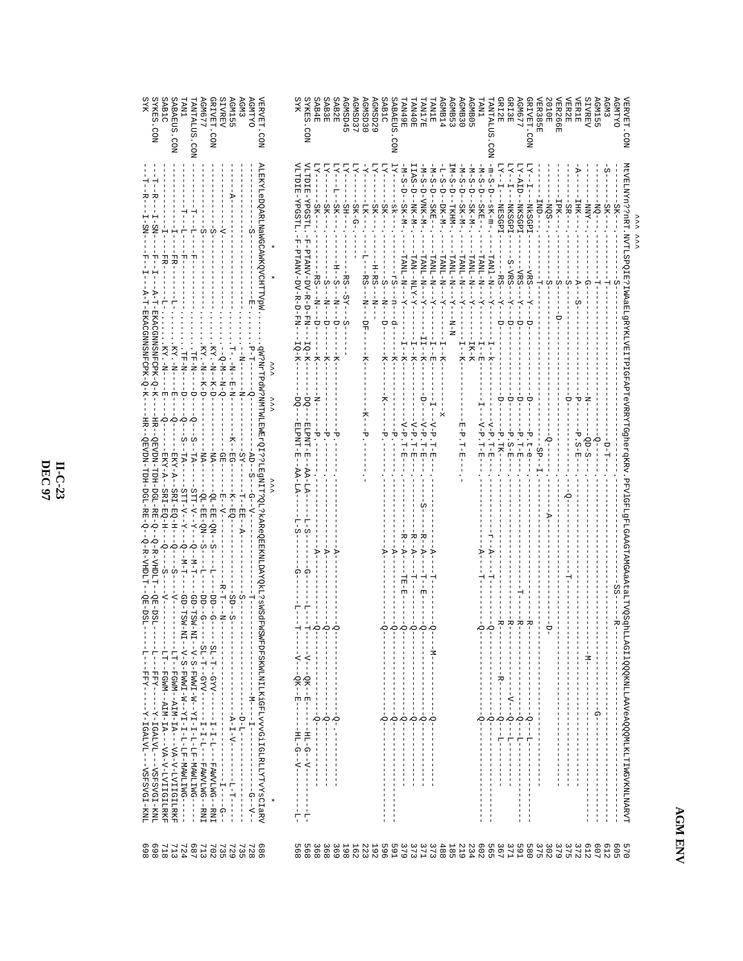| SYKES. CON<br><b>DALIMDE</b><br>SAB1C<br>SABAEUS.CON<br><b>JRIVET. CON</b><br><b>SIVREV</b><br><b>SCMG77</b><br><b>AGM155</b><br><b>AGM3</b><br><b><i>VERVET.CON</i></b><br>LNN.<br><b>NOD. SULATINA</b><br>ALEKYLeDQARLNaWGCAWKQVCHTTVpW                                                                                                                                                                                                                                                                                                                                                       | ЯYК<br>SAB4E<br>SAB2E<br>AGMSD30<br>SPOSSM <sub>D</sub><br>GNSD37<br><b>YKES.CON</b><br><b>ESPASE</b><br>GNSD <sub>29</sub><br>SAB1C<br>VITU IE - YPG STI . - F - PTANV - UV - R - U - F I - F<br>TTDIE-YPGSTT<br>$-5K$<br>SK.<br>SK<br>-HS<br>$SK-G-$<br>SK-<br>SK-<br>LK-                                                                                                          | SENDES<br><b>GMB14</b><br><b>LAN1E</b><br><b>GMB30</b><br><b>HOPNA</b><br>TAN40E<br><b>BLINE</b><br><b>ABAEUS</b><br>CON<br>$LN-S$<br>N-S<br>IAS<br>N-S<br>$M-S-D$<br>¤−S<br>L-S<br>$\frac{1}{\Box}$<br>$\frac{1}{\Box}$<br>Ů<br>é<br>Ų<br>$-NNK-M-$<br>SKE--<br>SK-M-<br>DK-M-<br>LKHM-                                                     | <b>GUBOS</b><br><b>GM677</b><br>RIVET.CON<br><b>TER385E</b><br>SUTYLNY.<br><b>JRI3E</b><br><b>ROTOE</b><br><b>LNA</b><br>RI2E<br>CO<br>N<br>$m-S$<br>M-S-D<br>N-S<br>é<br>Ë<br>$-NOS$ .<br>SK-M-<br><b>NKSGPI</b><br><b>NkSGP</b><br>NK SGP]                                                                                                                                                              | <b>SIVREV</b><br><b>OXTIMDA</b><br><b>JER266E</b><br><b>SGTMDT</b><br><b>AGM3</b><br><b>VERVET</b><br><b>JER2E</b><br><b>JER1E</b><br>.<br>NO2<br>IPK<br>$-XMM$<br>耳<br>SR<br>ð                                               |
|-------------------------------------------------------------------------------------------------------------------------------------------------------------------------------------------------------------------------------------------------------------------------------------------------------------------------------------------------------------------------------------------------------------------------------------------------------------------------------------------------------------------------------------------------------------------------------------------------|--------------------------------------------------------------------------------------------------------------------------------------------------------------------------------------------------------------------------------------------------------------------------------------------------------------------------------------------------------------------------------------|----------------------------------------------------------------------------------------------------------------------------------------------------------------------------------------------------------------------------------------------------------------------------------------------------------------------------------------------|-----------------------------------------------------------------------------------------------------------------------------------------------------------------------------------------------------------------------------------------------------------------------------------------------------------------------------------------------------------------------------------------------------------|-------------------------------------------------------------------------------------------------------------------------------------------------------------------------------------------------------------------------------|
| ER-<br>견<br>$KY - N$<br>ヤーリー<br>$(X - N)$<br>U-N--N-1<br>$-LF-N$ -<br>-N-H1<br>$Q-N--N-Q$<br>$-1$<br>$-1$<br>$-1$<br>$-1$<br>$-1$<br><b>H-N</b><br>j<br>J<br>$\frac{1}{\mathsf{U}}$<br>닡                                                                                                                                                                                                                                                                                                                                                                                                        | PHANV-DV-R-D-FX-<br>RS-<br>$-1$<br>i<br>F<br>$- - - 5S$<br>ź.<br>-<br>-<br>-<br>-<br>-<br>-<br>$-7$<br>$\frac{1}{1}$<br>$-\frac{1}{2}$<br>÷<br>n<br>S<br>à<br>IQ-K-<br>$-8 - 6 - 1$                                                                                                                                                                                                  | LANL-N-<br>LANL-N-N-<br>LANL-N-<br>LAN--NLY-Y<br>LANL-N<br>LANL-N-<br>-N-H-N-<br>$rac{1}{2}$<br>$X - Y$<br>؋<br>H<br>I<br>$-1$ $ \overline{E}$<br>$-K-$                                                                                                                                                                                      | LANL-N<br>$N-TNVI$<br>$N-IM$<br>S-VRS<br>VRS<br>Ģ<br>-IK-K<br>å                                                                                                                                                                                                                                                                                                                                           | MtVELMYn??rRT.NVTLSPQIE?IMAaElgRYKLVEITPIGFAPTGYRRYYGGhergKRV.PFVJGFLgFLGAAGTAMGAGAAELWSqhL                                                                                                                                   |
| 丙<br>Ю<br>Ю<br>Ю<br>$-MA$<br>-NA.<br>$AD$ – –<br>TA-<br>$\mathbb{R}$<br>ă<br>χS<br>s.<br>SRI-EQ-H--<br>--Y--V--TTP<br>-4--1-<br><b>SRI-EQ-H</b><br>$K - EQ -$<br>$QL - EE - QN -$<br>OL-EE-QN<br>--<br>- EH -                                                                                                                                                                                                                                                                                                                                                                                   | ð<br>50<br>FLPN-1-F-<br>四ピセンロード<br>Ō<br>۳Ū<br>᠇ᠣ<br>AA-LA                                                                                                                                                                                                                                                                                                                            | $\sim$<br>$\sim$<br>$\frac{1}{4}$<br>ドーヤ<br>t<br>ᡃᠣ<br>$-1-1$<br>.<br>너<br>벼<br>-<br>日-日<br>.<br>너<br>머                                                                                                                                                                                                                                      | $\Delta - \Delta$<br>₽<br>ᠸ<br>᠊ᢦ<br>ᡃᡉ<br>$-LK-$<br>$S-E$ .<br>$-1$<br>ဂု<br>.<br>너<br>너<br>$-1 - 1$<br>.<br>ה<br>ס<br>$SP - -$                                                                                                                                                                                                                                                                          | $QD-S$<br>ししーロー<br>S – E                                                                                                                                                                                                      |
| コース--<------ H<br>-<br>D--<br>N--<br>$\sum_{i=1}^{n}$<br>Ю<br>ا<br>م<br>S<br>$R-T$ -<br>$SD-$<br>S<br>ဂှ<br>Ω<br>ă                                                                                                                                                                                                                                                                                                                                                                                                                                                                              | 7-2<br>⋗<br>⊅<br>Ω<br>Ö<br>Ю<br>н<br>H<br>Ю                                                                                                                                                                                                                                                                                                                                          | R-<br>R-<br>R –<br>j.<br>ъ<br>⋗<br>ŧ<br>$\dot{\circ}$<br>юò<br>ΙÓ.<br>Ò                                                                                                                                                                                                                                                                      | R-<br>ပင်္<br>Ġ<br>Ò                                                                                                                                                                                                                                                                                                                                                                                      |                                                                                                                                                                                                                               |
| qW?NTTPdN?NWIWIEWIEWZ01???LESMITT?QI-1kAReQEEKNLDAYQKL?sWSdFWSWFDFSKWIMILKiGFLvvvGiIGLAZIYVYGTIGYCIaRV<br>ONITMEN-IN-IN-IN-IN-IN-IN-IN-IN-IN-IN-IN-<br>QD - TSM - MI - - V - S - FWWI I - X - - Y I - I - I - I - U - U F - MAWU I I NG - - - - - -<br>$-1 - 4 \lambda 5 - -1 - 1 - 15$<br>$-LT-FGWM-ALM-LA-IV-VD-V-LVITGILRKF$<br>$SL- T - GYY- - - I - I - I - I - I - I - FANNUDG - - RNT$<br>-LTT-FGWM--AIM-IA-VA-V-DVIIGILRKF<br>$\frac{1}{1}$<br>$\frac{1}{1}$<br>T<br>I<br>I.<br>$\begin{bmatrix} 1 \\ 1 \\ 1 \\ 1 \end{bmatrix}$<br>$\frac{1}{1}$<br>$\frac{1}{1}$<br>$\mathsf I$<br>I. | $-N---DK--E---$<br>$\mathbf{I}$<br>$\begin{array}{c} 1 \\ 1 \\ 1 \end{array}$<br>$\mathsf I$<br>$\overline{\phantom{a}}$<br>Ť.<br>$\mathsf I$<br>$-5$<br>$\overline{0}$ .<br>$Q$ ------<br>Ю<br>$\overline{1}$<br>Ţ<br>$-111 - 0 - 0 - 0 - 0$<br>$-1 = \underline{H} \underline{T} - \underline{A} - -\underline{A} - -1 \underline{H}$<br>$\frac{1}{1}$<br>$-1$ $-1$ $-1$ $-1$ $-1$ | $-1$ N <sup>-</sup><br>J.<br>I<br>$\mathbf{I}$<br>$\mathsf I$<br>$\mathsf I$<br>$\mathbb{L}$<br>I.<br>$\frac{1}{2}$<br>$\sum_{i=1}^{n}$<br>$\sum_{i=1}^{n}$<br>$-\frac{1}{2}$<br>Ю<br>I<br>J.<br>ł.<br>п<br>$\mathbf{I}$<br>$\mathbf{I}$<br>ł<br>$\overline{\phantom{a}}$<br>L<br>$\mathbb T$<br>$\mathsf I$<br>$\frac{1}{1}$<br>$\mathsf I$ | -<br>$\mathsf I$<br>J.<br>1<br>$\frac{1}{1}$<br>1<br>$\frac{1}{1}$<br>$-$ B $-$<br>ţ<br>$\overline{\phantom{a}}$<br>1<br>т<br>$- - - - - - - -$<br>т<br>J.<br>$\overline{\phantom{a}}$<br>1<br>Ţ<br>$\frac{1}{1}$<br>÷<br>т<br>Ť.<br>1<br>$Q - -1 = 2 - -1 -$<br>$Q$ ---L----<br>$Q - -1 - 1 - - - -$<br>Ю<br>$\sum_{i=1}^{n}$<br>$-1$<br>Ţ.<br>$\mathbf{I}$<br>부<br>I.<br>I.<br>$\frac{1}{1}$<br>т<br>I. | LAGI 1 QQQKNLLAAVeAQQQMLKLTTWGVKNLNARVT<br>$- -M - -$<br>ţ<br>$\frac{1}{1}$<br>Ť.<br>Ţ<br>$\frac{1}{1}$<br>Ť<br>п<br>$\frac{1}{4}$<br>$\frac{1}{1}$<br>$\frac{1}{1}$                                                          |
| $\frac{1}{1}$<br>$-1 - 1 - - - - - - - - -$<br>$\begin{array}{c} 1 \\ 1 \\ 1 \\ 1 \end{array}$<br>×<br>$\frac{1}{1}$<br>ţ<br>489<br>69<br>898<br>713<br>702<br>735<br>929<br>735<br>989<br>724<br>713<br>718<br>728                                                                                                                                                                                                                                                                                                                                                                             | $\begin{array}{c} \begin{array}{c} \text{1} \\ \text{2} \\ \text{3} \\ \text{4} \end{array} \end{array}$<br>I<br>T<br>I<br>п<br>÷<br>부<br>UЛ<br>895<br>368<br>368<br>369<br>198<br>162<br>965<br>223<br><b>192</b>                                                                                                                                                                   | $\frac{1}{1}$<br>Ţ<br>$\frac{1}{1}$<br>Ţ<br>ł<br>ł<br><b>591</b><br>373<br>$271$<br>373<br>488<br><b>185</b><br>219<br>234                                                                                                                                                                                                                   | $\frac{1}{1}$<br>$\frac{1}{1}$<br>J.<br>$\frac{1}{1}$<br>$\overline{\phantom{a}}$<br>$\frac{1}{1}$<br>т.<br>$\overline{\phantom{a}}$<br>$\mathbf{I}$<br>$\overline{\phantom{a}}$<br>1<br>$\mathbf{I}$                                                                                                                                                                                                     | $\frac{1}{1}$<br>I<br>ţ<br>$\begin{array}{c} 1 \\ 1 \\ 1 \end{array}$<br>$\frac{1}{1}$<br>п<br>т<br>I<br>п<br>$\frac{1}{1}$<br>ł<br>ï<br>ţ<br>I<br>J.<br>$\mathbf{I}$<br>379<br>375<br>612<br>372<br>607<br>E12<br>509<br>045 |